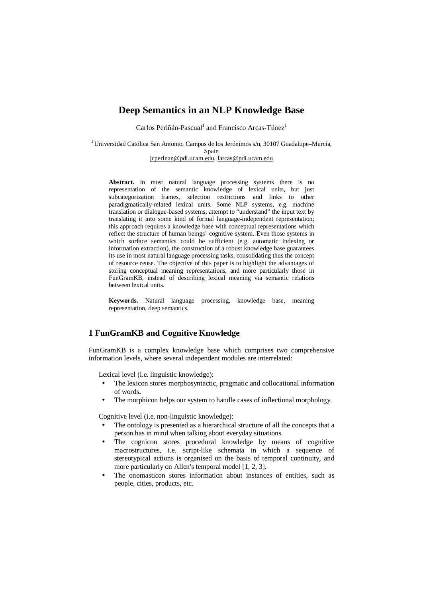# **Deep Semantics in an NLP Knowledge Base**

Carlos Periñán-Pascual<sup>1</sup> and Francisco Arcas-Túnez<sup>1</sup>

<sup>1</sup> Universidad Católica San Antonio, Campus de los Jerónimos s/n, 30107 Guadalupe–Murcia, Spain [jcperinan@pdi.ucam.edu](mailto:jcperinan@pdi.ucam.edu), [farcas@pdi.ucam.edu](mailto:farcas@pdi.ucam.edu)

**Abstract.** In most natural language processing systems there is no representation of the semantic knowledge of lexical units, but just subcategorization frames, selection restrictions and links to other paradigmatically-related lexical units. Some NLP systems, e.g. machine translation or dialogue-based systems, attempt to "understand" the input text by translating it into some kind of formal language-independent representation; this approach requires a knowledge base with conceptual representations which reflect the structure of human beings' cognitive system. Even those systems in which surface semantics could be sufficient (e.g. automatic indexing or information extraction), the construction of a robust knowledge base guarantees its use in most natural language processing tasks, consolidating thus the concept of resource reuse. The objective of this paper is to highlight the advantages of storing conceptual meaning representations, and more particularly those in FunGramKB, instead of describing lexical meaning via semantic relations between lexical units.

**Keywords.** Natural language processing, knowledge base, meaning representation, deep semantics.

## **1 FunGramKB and Cognitive Knowledge**

FunGramKB is a complex knowledge base which comprises two comprehensive information levels, where several independent modules are interrelated:

Lexical level (i.e. linguistic knowledge):

- The lexicon stores morphosyntactic, pragmatic and collocational information of words**.**
- The morphicon helps our system to handle cases of inflectional morphology.

Cognitive level (i.e. non-linguistic knowledge):

- The ontology is presented as a hierarchical structure of all the concepts that a person has in mind when talking about everyday situations.
- The cognicon stores procedural knowledge by means of cognitive macrostructures, i.e. script-like schemata in which a sequence of stereotypical actions is organised on the basis of temporal continuity, and more particularly on Allen's temporal model [1, 2, 3].
- The onomasticon stores information about instances of entities, such as people, cities, products, etc.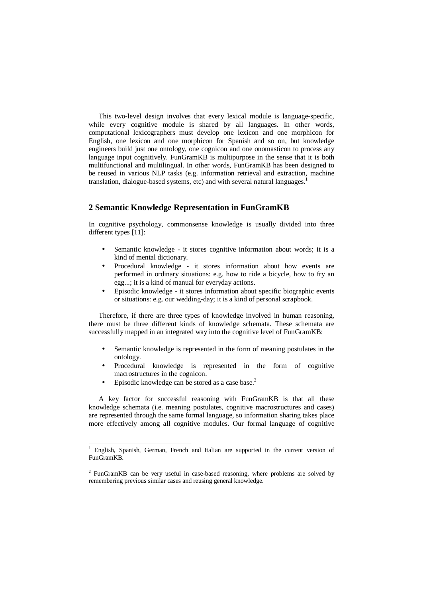This two-level design involves that every lexical module is language-specific, while every cognitive module is shared by all languages. In other words, computational lexicographers must develop one lexicon and one morphicon for English, one lexicon and one morphicon for Spanish and so on, but knowledge engineers build just one ontology, one cognicon and one onomasticon to process any language input cognitively. FunGramKB is multipurpose in the sense that it is both multifunctional and multilingual. In other words, FunGramKB has been designed to be reused in various NLP tasks (e.g. information retrieval and extraction, machine translation, dialogue-based systems, etc) and with several natural languages.<sup>1</sup>

## **2 Semantic Knowledge Representation in FunGramKB**

In cognitive psychology, commonsense knowledge is usually divided into three different types [11]:

- Semantic knowledge it stores cognitive information about words; it is a kind of mental dictionary.
- Procedural knowledge it stores information about how events are performed in ordinary situations: e.g. how to ride a bicycle, how to fry an egg...; it is a kind of manual for everyday actions.
- Episodic knowledge it stores information about specific biographic events or situations: e.g. our wedding-day; it is a kind of personal scrapbook.

Therefore, if there are three types of knowledge involved in human reasoning, there must be three different kinds of knowledge schemata. These schemata are successfully mapped in an integrated way into the cognitive level of FunGramKB:

- Semantic knowledge is represented in the form of meaning postulates in the ontology.
- Procedural knowledge is represented in the form of cognitive macrostructures in the cognicon.
- Episodic knowledge can be stored as a case base.<sup>2</sup>

l

A key factor for successful reasoning with FunGramKB is that all these knowledge schemata (i.e. meaning postulates, cognitive macrostructures and cases) are represented through the same formal language, so information sharing takes place more effectively among all cognitive modules. Our formal language of cognitive

<sup>1</sup> English, Spanish, German, French and Italian are supported in the current version of FunGramKB.

<sup>&</sup>lt;sup>2</sup> FunGramKB can be very useful in case-based reasoning, where problems are solved by remembering previous similar cases and reusing general knowledge.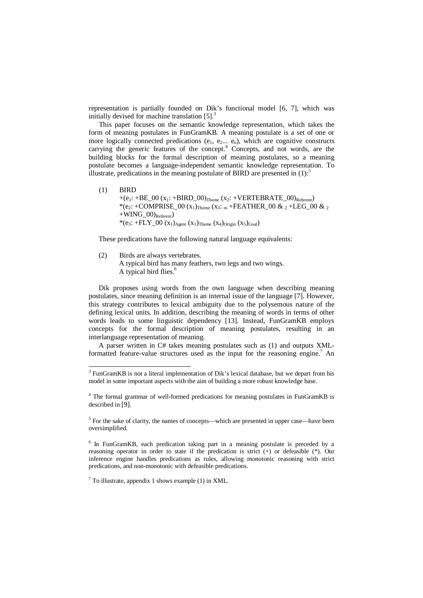representation is partially founded on Dik's functional model [6, 7], which was initially devised for machine translation  $[5]$ <sup>3</sup>

This paper focuses on the semantic knowledge representation, which takes the form of meaning postulates in FunGramKB. A meaning postulate is a set of one or more logically connected predications  $(e_1, e_2... e_n)$ , which are cognitive constructs carrying the generic features of the concept.<sup>4</sup> Concepts, and not words, are the building blocks for the formal description of meaning postulates, so a meaning postulate becomes a language-independent semantic knowledge representation. To illustrate, predications in the meaning postulate of BIRD are presented in  $(1)$ :

(1) BIRD  $+(e_1: +BE_00 (x_1: +BIRD_00)_{Theme} (x_2: +VERTEBRATE_00)_{Referent})$ \*(e<sub>2</sub>: +COMPRISE\_00 (x<sub>1</sub>)<sub>Theme</sub> (x<sub>3</sub>: <sub>m</sub> +FEATHER\_00 & <sub>2</sub> +LEG\_00 & <sub>2</sub>  $+WING_00)_{Referent}$ \*(e<sub>3</sub>: +FLY\_00 (x<sub>1</sub>)<sub>Agent</sub> (x<sub>1</sub>)<sub>Theme</sub> (x<sub>4</sub>)<sub>Origin</sub> (x<sub>5</sub>)<sub>Goal</sub>)

These predications have the following natural language equivalents:

(2) Birds are always vertebrates. A typical bird has many feathers, two legs and two wings. A typical bird flies.<sup>6</sup>

Dik proposes using words from the own language when describing meaning postulates, since meaning definition is an internal issue of the language [7]. However, this strategy contributes to lexical ambiguity due to the polysemous nature of the defining lexical units. In addition, describing the meaning of words in terms of other words leads to some linguistic dependency [13]. Instead, FunGramKB employs concepts for the formal description of meaning postulates, resulting in an interlanguage representation of meaning.

A parser written in C# takes meaning postulates such as (1) and outputs XMLformatted feature-value structures used as the input for the reasoning engine.<sup>7</sup> An

 $7$  To illustrate, appendix 1 shows example (1) in XML.

-

 $3$  FunGramKB is not a literal implementation of Dik's lexical database, but we depart from his model in some important aspects with the aim of building a more robust knowledge base.

<sup>4</sup> The formal grammar of well-formed predications for meaning postulates in FunGramKB is described in [9].

 $<sup>5</sup>$  For the sake of clarity, the names of concepts—which are presented in upper case—have been</sup> oversimplified.

<sup>&</sup>lt;sup>6</sup> In FunGramKB, each predication taking part in a meaning postulate is preceded by a reasoning operator in order to state if the predication is strict (+) or defeasible (\*). Our inference engine handles predications as rules, allowing monotonic reasoning with strict predications, and non-monotonic with defeasible predications.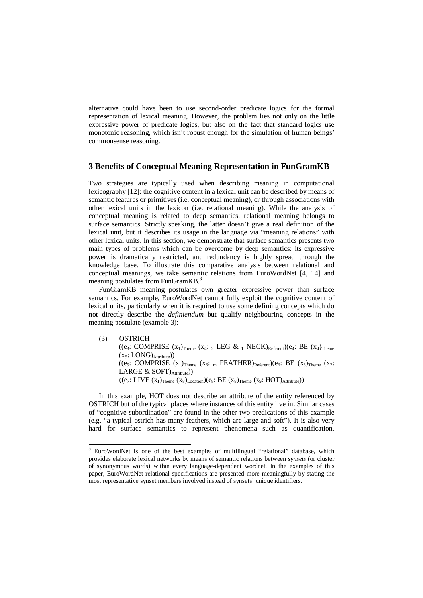alternative could have been to use second-order predicate logics for the formal representation of lexical meaning. However, the problem lies not only on the little expressive power of predicate logics, but also on the fact that standard logics use monotonic reasoning, which isn't robust enough for the simulation of human beings' commonsense reasoning.

### **3 Benefits of Conceptual Meaning Representation in FunGramKB**

Two strategies are typically used when describing meaning in computational lexicography [12]: the cognitive content in a lexical unit can be described by means of semantic features or primitives (i.e. conceptual meaning), or through associations with other lexical units in the lexicon (i.e. relational meaning). While the analysis of conceptual meaning is related to deep semantics, relational meaning belongs to surface semantics. Strictly speaking, the latter doesn't give a real definition of the lexical unit, but it describes its usage in the language via "meaning relations" with other lexical units. In this section, we demonstrate that surface semantics presents two main types of problems which can be overcome by deep semantics: its expressive power is dramatically restricted, and redundancy is highly spread through the knowledge base. To illustrate this comparative analysis between relational and conceptual meanings, we take semantic relations from EuroWordNet [4, 14] and meaning postulates from FunGramKB.<sup>8</sup>

FunGramKB meaning postulates own greater expressive power than surface semantics. For example, EuroWordNet cannot fully exploit the cognitive content of lexical units, particularly when it is required to use some defining concepts which do not directly describe the *definiendum* but qualify neighbouring concepts in the meaning postulate (example 3):

(3) OSTRICH ((e<sub>3</sub>: COMPRISE  $(x_1)$ <sub>Theme</sub>  $(x_4: 2 \text{ LEG} \& 1 \text{NECK})_{\text{Referent}}$ )(e<sub>4</sub>: BE  $(x_4)$ <sub>Theme</sub>  $(x_5: LONG)_{Attribute})$ ((e<sub>5</sub>: COMPRISE  $(x_1)_{\text{Theme}} (x_6: \text{ }_{m} \text{ }^{FEATHER})_{\text{Refarent}}$ )(e<sub>6</sub>: BE  $(x_6)_{\text{Theme}} (x_7:$ LARGE & SOFT) Attribute))  $((e_7: \text{LIVE } (x_1)_{\text{Theme}} (x_8)_{\text{Location}})(e_8: \text{BE } (x_8)_{\text{Theme}} (x_9: \text{HOT})_{\text{Attribute}}))$ 

In this example, HOT does not describe an attribute of the entity referenced by OSTRICH but of the typical places where instances of this entity live in. Similar cases of "cognitive subordination" are found in the other two predications of this example (e.g. "a typical ostrich has many feathers, which are large and soft"). It is also very hard for surface semantics to represent phenomena such as quantification,

l

<sup>8</sup> EuroWordNet is one of the best examples of multilingual "relational" database, which provides elaborate lexical networks by means of semantic relations between *synsets* (or cluster of synonymous words) within every language-dependent wordnet. In the examples of this paper, EuroWordNet relational specifications are presented more meaningfully by stating the most representative synset members involved instead of synsets' unique identifiers.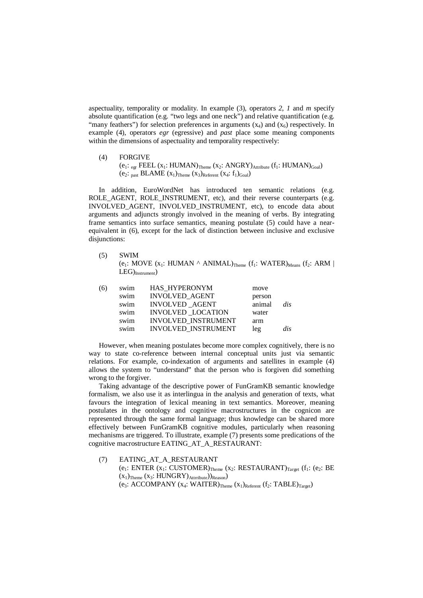aspectuality, temporality or modality. In example (3), operators *2*, *1* and *m* specify absolute quantification (e.g. "two legs and one neck") and relative quantification (e.g. "many feathers") for selection preferences in arguments  $(x_4)$  and  $(x_6)$  respectively. In example (4), operators *egr* (egressive) and *past* place some meaning components within the dimensions of aspectuality and temporality respectively:

(4) FORGIVE (e<sub>1</sub>:  $_{\text{egr}}$  FEEL (x<sub>1</sub>: HUMAN)<sub>Theme</sub> (x<sub>2</sub>: ANGRY)<sub>Attribute</sub> (f<sub>1</sub>: HUMAN)<sub>Goal</sub>) (e<sub>2</sub>:  $_{past}$  BLAME  $(x_1)$ <sub>Theme</sub>  $(x_3)$ <sub>Referent</sub>  $(x_4$ :  $f_1)_{Goal}$ )

In addition, EuroWordNet has introduced ten semantic relations (e.g. ROLE\_AGENT, ROLE\_INSTRUMENT, etc), and their reverse counterparts (e.g. INVOLVED\_AGENT, INVOLVED\_INSTRUMENT, etc), to encode data about arguments and adjuncts strongly involved in the meaning of verbs. By integrating frame semantics into surface semantics, meaning postulate (5) could have a nearequivalent in (6), except for the lack of distinction between inclusive and exclusive disjunctions:

(5) SWIM (e<sub>1</sub>: MOVE ( $x_1$ : HUMAN  $\wedge$  ANIMAL)<sub>Theme</sub> ( $f_1$ : WATER)<sub>Means</sub> ( $f_2$ : ARM |  $LEG)$ <sub>Instrument</sub>)

However, when meaning postulates become more complex cognitively, there is no way to state co-reference between internal conceptual units just via semantic relations. For example, co-indexation of arguments and satellites in example (4) allows the system to "understand" that the person who is forgiven did something wrong to the forgiver.

Taking advantage of the descriptive power of FunGramKB semantic knowledge formalism, we also use it as interlingua in the analysis and generation of texts, what favours the integration of lexical meaning in text semantics. Moreover, meaning postulates in the ontology and cognitive macrostructures in the cognicon are represented through the same formal language; thus knowledge can be shared more effectively between FunGramKB cognitive modules, particularly when reasoning mechanisms are triggered. To illustrate, example (7) presents some predications of the cognitive macrostructure EATING\_AT\_A\_RESTAURANT:

(7) EATING\_AT\_A\_RESTAURANT  $(e_1: ENTER (x_1: CUSTOMER)_{Theme} (x_2: RESTAURANT)_{Target} (f_1: (e_2: BE)$  $(x_1)$ <sub>Theme</sub>  $(x_3: HUNGRY)_{Attribute}$ )<sub>Reason</sub>) (e<sub>3</sub>: ACCOMPANY ( $x_4$ : WAITER)<sub>Theme</sub> ( $x_1$ )<sub>Referent</sub> ( $f_2$ : TABLE)<sub>Target</sub>)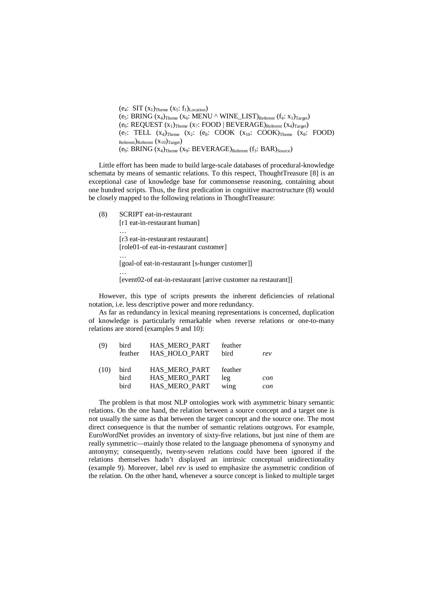(e<sub>4</sub>: SIT  $(x_1)$ <sub>Theme</sub>  $(x_5: f_1)$ <sub>Location</sub>) (e<sub>5</sub>: BRING  $(x_4)$ <sub>Theme</sub>  $(x_6: MENU \land WINE_LIST)_{Referent}$   $(f_4: x_1)_{Target}$ )  $(e_6: REQUEST (x_1)_{Theme} (x_7: FOOD | BEVERAGE)_{Referent} (x_4)_{Target})$ (e7: TELL  $(x_4)$ <sub>Theme</sub>  $(x_2$ : (e<sub>8</sub>: COOK  $(x_{10}$ : COOK)<sub>Theme</sub>  $(x_8$ : FOOD) Referent)Referent (x10)Target) (e9: BRING  $(x_4)$ <sub>Theme</sub>  $(x_9: BEVERAGE)$ <sub>Referent</sub>  $(f_3: BAR)$ <sub>Source</sub>)

Little effort has been made to build large-scale databases of procedural-knowledge schemata by means of semantic relations. To this respect, ThoughtTreasure [8] is an exceptional case of knowledge base for commonsense reasoning, containing about one hundred scripts. Thus, the first predication in cognitive macrostructure (8) would be closely mapped to the following relations in ThoughtTreasure:

(8) SCRIPT eat-in-restaurant

…

[r1 eat-in-restaurant human] … [r3 eat-in-restaurant restaurant] [role01-of eat-in-restaurant customer] …

[goal-of eat-in-restaurant [s-hunger customer]]

[event02-of eat-in-restaurant [arrive customer na restaurant]]

However, this type of scripts presents the inherent deficiencies of relational notation, i.e. less descriptive power and more redundancy.

As far as redundancy in lexical meaning representations is concerned, duplication of knowledge is particularly remarkable when reverse relations or one-to-many relations are stored (examples 9 and 10):

| (9)  | bird<br>feather | HAS MERO PART<br>HAS HOLO PART | feather<br>bird | rev |
|------|-----------------|--------------------------------|-----------------|-----|
| (10) | bird<br>bird    | HAS MERO PART<br>HAS MERO PART | feather<br>leg  |     |
|      |                 |                                |                 | con |
|      | bird            | HAS_MERO_PART                  | wing            | con |

The problem is that most NLP ontologies work with asymmetric binary semantic relations. On the one hand, the relation between a source concept and a target one is not usually the same as that between the target concept and the source one. The most direct consequence is that the number of semantic relations outgrows. For example, EuroWordNet provides an inventory of sixty-five relations, but just nine of them are really symmetric—mainly those related to the language phenomena of synonymy and antonymy; consequently, twenty-seven relations could have been ignored if the relations themselves hadn't displayed an intrinsic conceptual unidirectionality (example 9). Moreover, label *rev* is used to emphasize the asymmetric condition of the relation. On the other hand, whenever a source concept is linked to multiple target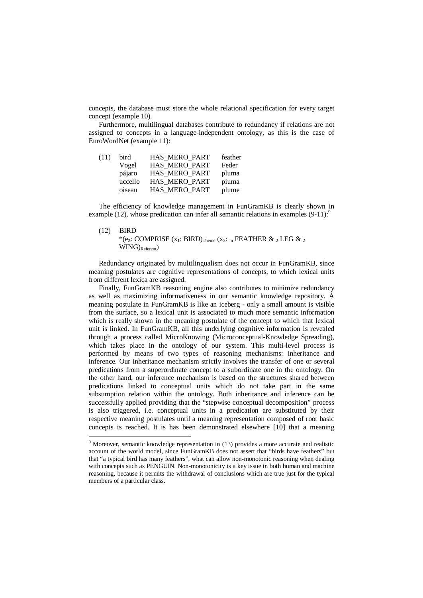concepts, the database must store the whole relational specification for every target concept (example 10).

Furthermore, multilingual databases contribute to redundancy if relations are not assigned to concepts in a language-independent ontology, as this is the case of EuroWordNet (example 11):

| bird    | HAS MERO PART | feather |
|---------|---------------|---------|
| Vogel   | HAS MERO PART | Feder   |
| pájaro  | HAS MERO PART | pluma   |
| uccello | HAS MERO PART | piuma   |
| oiseau  | HAS MERO PART | plume   |
|         |               |         |

The efficiency of knowledge management in FunGramKB is clearly shown in example (12), whose predication can infer all semantic relations in examples  $(9-11)$ :

#### (12) BIRD

l

\*(e<sub>2</sub>: COMPRISE  $(x_1: BIRD)$ <sub>Theme</sub>  $(x_3: _m$  FEATHER  $\& _2$  LEG  $\& _2$  $WING$ <sub>Referent</sub>)

Redundancy originated by multilingualism does not occur in FunGramKB, since meaning postulates are cognitive representations of concepts, to which lexical units from different lexica are assigned.

Finally, FunGramKB reasoning engine also contributes to minimize redundancy as well as maximizing informativeness in our semantic knowledge repository. A meaning postulate in FunGramKB is like an iceberg - only a small amount is visible from the surface, so a lexical unit is associated to much more semantic information which is really shown in the meaning postulate of the concept to which that lexical unit is linked. In FunGramKB, all this underlying cognitive information is revealed through a process called MicroKnowing (Microconceptual-Knowledge Spreading), which takes place in the ontology of our system. This multi-level process is performed by means of two types of reasoning mechanisms: inheritance and inference. Our inheritance mechanism strictly involves the transfer of one or several predications from a superordinate concept to a subordinate one in the ontology. On the other hand, our inference mechanism is based on the structures shared between predications linked to conceptual units which do not take part in the same subsumption relation within the ontology. Both inheritance and inference can be successfully applied providing that the "stepwise conceptual decomposition" process is also triggered, i.e. conceptual units in a predication are substituted by their respective meaning postulates until a meaning representation composed of root basic concepts is reached. It is has been demonstrated elsewhere [10] that a meaning

<sup>&</sup>lt;sup>9</sup> Moreover, semantic knowledge representation in (13) provides a more accurate and realistic account of the world model, since FunGramKB does not assert that "birds have feathers" but that "a typical bird has many feathers", what can allow non-monotonic reasoning when dealing with concepts such as PENGUIN. Non-monotonicity is a key issue in both human and machine reasoning, because it permits the withdrawal of conclusions which are true just for the typical members of a particular class.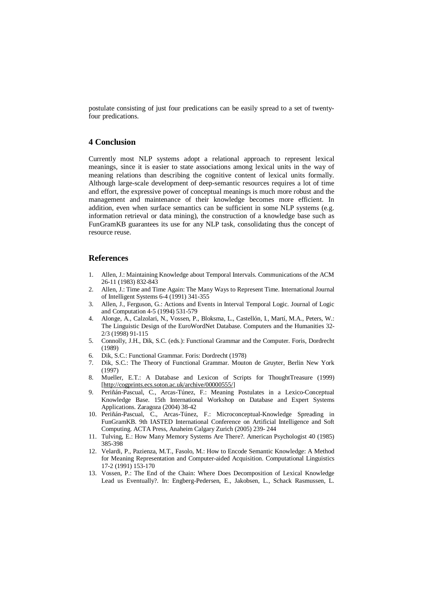postulate consisting of just four predications can be easily spread to a set of twentyfour predications.

### **4 Conclusion**

Currently most NLP systems adopt a relational approach to represent lexical meanings, since it is easier to state associations among lexical units in the way of meaning relations than describing the cognitive content of lexical units formally. Although large-scale development of deep-semantic resources requires a lot of time and effort, the expressive power of conceptual meanings is much more robust and the management and maintenance of their knowledge becomes more efficient. In addition, even when surface semantics can be sufficient in some NLP systems (e.g. information retrieval or data mining), the construction of a knowledge base such as FunGramKB guarantees its use for any NLP task, consolidating thus the concept of resource reuse.

### **References**

- 1. Allen, J.: Maintaining Knowledge about Temporal Intervals. Communications of the ACM 26-11 (1983) 832-843
- 2. Allen, J.: Time and Time Again: The Many Ways to Represent Time. International Journal of Intelligent Systems 6-4 (1991) 341-355
- 3. Allen, J., Ferguson, G.: Actions and Events in Interval Temporal Logic. Journal of Logic and Computation 4-5 (1994) 531-579
- 4. Alonge, A., Calzolari, N., Vossen, P., Bloksma, L., Castellón, I., Martí, M.A., Peters, W.: The Linguistic Design of the EuroWordNet Database. Computers and the Humanities 32- 2/3 (1998) 91-115
- 5. Connolly, J.H., Dik, S.C. (eds.): Functional Grammar and the Computer. Foris, Dordrecht (1989)
- 6. Dik, S.C.: Functional Grammar. Foris: Dordrecht (1978)
- 7. Dik, S.C.: The Theory of Functional Grammar. Mouton de Gruyter, Berlin New York (1997)
- 8. Mueller, E.T.: A Database and Lexicon of Scripts for ThoughtTreasure (1999) [<http://cogprints.ecs.soton.ac.uk/archive/00000555/>]
- 9. Periñán-Pascual, C., Arcas-Túnez, F.: Meaning Postulates in a Lexico-Conceptual Knowledge Base. 15th International Workshop on Database and Expert Systems Applications. Zaragoza (2004) 38-42
- 10. Periñán-Pascual, C., Arcas-Túnez, F.: Microconceptual-Knowledge Spreading in FunGramKB. 9th IASTED International Conference on Artificial Intelligence and Soft Computing. ACTA Press, Anaheim Calgary Zurich (2005) 239- 244
- 11. Tulving, E.: How Many Memory Systems Are There?. American Psychologist 40 (1985) 385-398
- 12. Velardi, P., Pazienza, M.T., Fasolo, M.: How to Encode Semantic Knowledge: A Method for Meaning Representation and Computer-aided Acquisition. Computational Linguistics 17-2 (1991) 153-170
- 13. Vossen, P.: The End of the Chain: Where Does Decomposition of Lexical Knowledge Lead us Eventually?. In: Engberg-Pedersen, E., Jakobsen, L., Schack Rasmussen, L.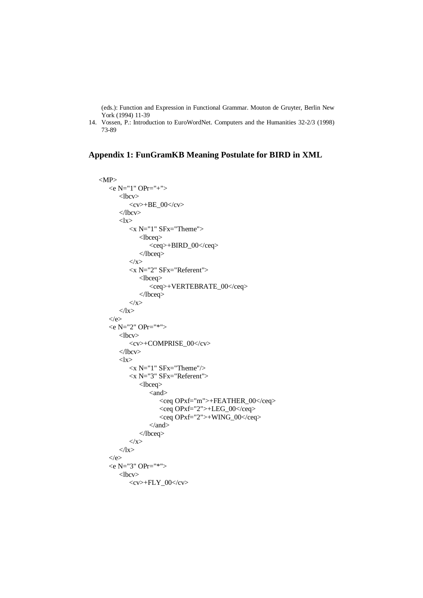(eds.): Function and Expression in Functional Grammar. Mouton de Gruyter, Berlin New York (1994) 11-39

14. Vossen, P.: Introduction to EuroWordNet. Computers and the Humanities 32-2/3 (1998) 73-89

# **Appendix 1: FunGramKB Meaning Postulate for BIRD in XML**

```
|MP\rangle\langle e N = "1" OPT = "+"<lbcv><cv>+BE_00</cv>
    \langle/lbcv>
    <lx>\langle x \rangleN="1" SFx="Theme">
            <lbceq> 
                <ceq>+BIRD_00</ceq> 
            </lbceq> 
        \langle x \rangle<x N="2" SFx="Referent"> 
            <lbceq> 
                <ceq>+VERTEBRATE_00</ceq> 
            </lbceq> 
        \langle x \rangle\langlelx>
\langle e \rangle\leqe N="2" OPr="*">
    <lbcv><cv>+COMPRISE_00</cv> 
    </lbcv> 
    \langlelx\rangle\langle x N ="1" SFx="Theme"/>
        \langle x \rangleN="3" SFx="Referent">
            <lbceq> 
                \langleand\rangle<ceq OPxf="m">+FEATHER_00</ceq> 
                    <ceq OPxf="2">+LEG_00</ceq> 
                    <ceq OPxf="2">+WING_00</ceq> 
                \langle and\rangle</lbceq> 
        \langle x \rangle\langlelx>
\langle e \rangle\langle e N = "3" OPr = "^*" \rangle<lbcv> 
        <cv>+FLY_00</cv>
```